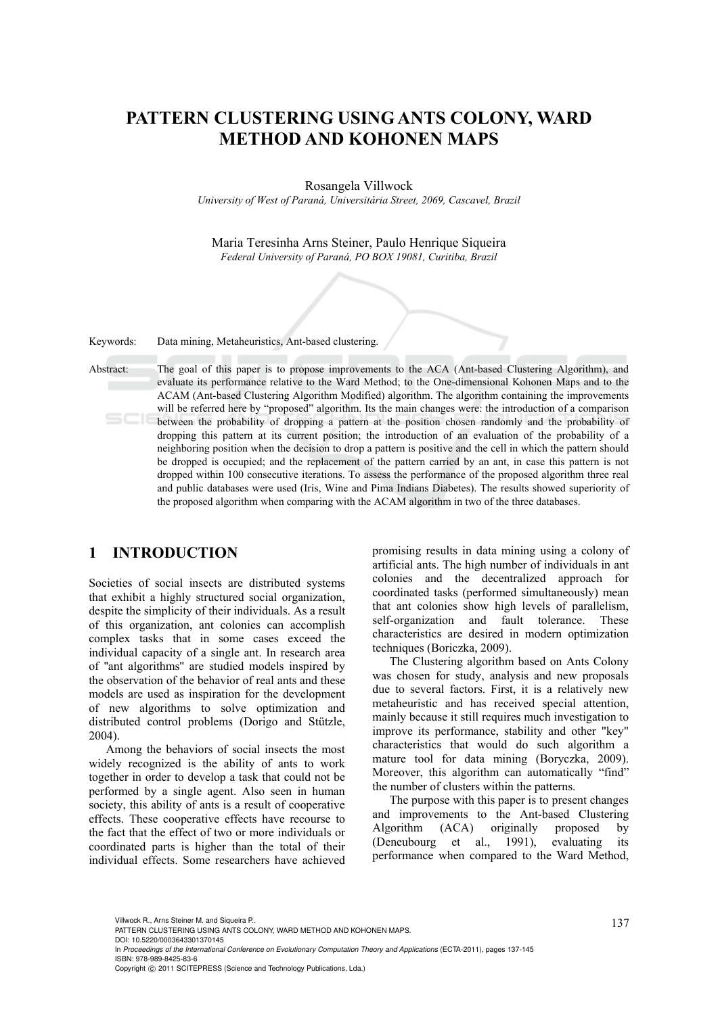# **PATTERN CLUSTERING USING ANTS COLONY, WARD METHOD AND KOHONEN MAPS**

#### Rosangela Villwock

*University of West of Paraná, Universitária Street, 2069, Cascavel, Brazil* 

Maria Teresinha Arns Steiner, Paulo Henrique Siqueira *Federal University of Paraná, PO BOX 19081, Curitiba, Brazil* 

Keywords: Data mining, Metaheuristics, Ant-based clustering.

Abstract: The goal of this paper is to propose improvements to the ACA (Ant-based Clustering Algorithm), and evaluate its performance relative to the Ward Method; to the One-dimensional Kohonen Maps and to the ACAM (Ant-based Clustering Algorithm Modified) algorithm. The algorithm containing the improvements will be referred here by "proposed" algorithm. Its the main changes were: the introduction of a comparison between the probability of dropping a pattern at the position chosen randomly and the probability of dropping this pattern at its current position; the introduction of an evaluation of the probability of a neighboring position when the decision to drop a pattern is positive and the cell in which the pattern should be dropped is occupied; and the replacement of the pattern carried by an ant, in case this pattern is not dropped within 100 consecutive iterations. To assess the performance of the proposed algorithm three real and public databases were used (Iris, Wine and Pima Indians Diabetes). The results showed superiority of the proposed algorithm when comparing with the ACAM algorithm in two of the three databases.

# **1 INTRODUCTION**

Societies of social insects are distributed systems that exhibit a highly structured social organization, despite the simplicity of their individuals. As a result of this organization, ant colonies can accomplish complex tasks that in some cases exceed the individual capacity of a single ant. In research area of ''ant algorithms'' are studied models inspired by the observation of the behavior of real ants and these models are used as inspiration for the development of new algorithms to solve optimization and distributed control problems (Dorigo and Stützle, 2004).

Among the behaviors of social insects the most widely recognized is the ability of ants to work together in order to develop a task that could not be performed by a single agent. Also seen in human society, this ability of ants is a result of cooperative effects. These cooperative effects have recourse to the fact that the effect of two or more individuals or coordinated parts is higher than the total of their individual effects. Some researchers have achieved promising results in data mining using a colony of artificial ants. The high number of individuals in ant colonies and the decentralized approach for coordinated tasks (performed simultaneously) mean that ant colonies show high levels of parallelism, self-organization and fault tolerance. These characteristics are desired in modern optimization techniques (Boriczka, 2009).

The Clustering algorithm based on Ants Colony was chosen for study, analysis and new proposals due to several factors. First, it is a relatively new metaheuristic and has received special attention, mainly because it still requires much investigation to improve its performance, stability and other "key" characteristics that would do such algorithm a mature tool for data mining (Boryczka, 2009). Moreover, this algorithm can automatically "find" the number of clusters within the patterns.

The purpose with this paper is to present changes and improvements to the Ant-based Clustering Algorithm (ACA) originally proposed by (Deneubourg et al., 1991), evaluating its performance when compared to the Ward Method,

DOI: 10.5220/0003643301370145 In *Proceedings of the International Conference on Evolutionary Computation Theory and Applications* (ECTA-2011), pages 137-145 ISBN: 978-989-8425-83-6

Copyright © 2011 SCITEPRESS (Science and Technology Publications, Lda.)

<sup>137</sup> Villwock R., Arns Steiner M. and Siqueira P.. PATTERN CLUSTERING USING ANTS COLONY, WARD METHOD AND KOHONEN MAPS.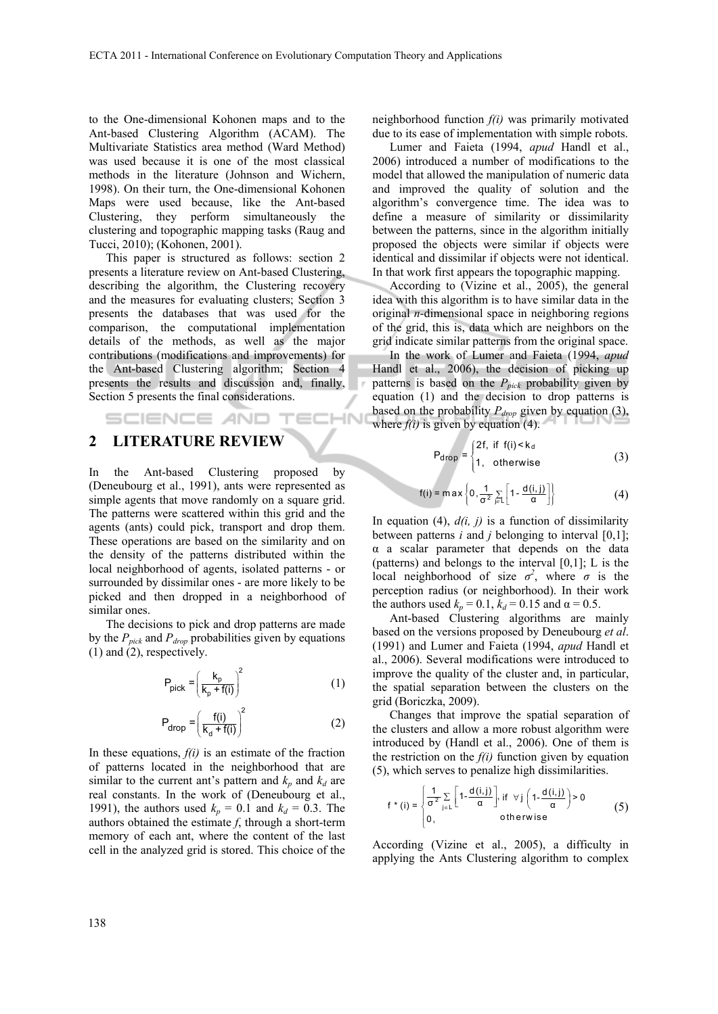to the One-dimensional Kohonen maps and to the Ant-based Clustering Algorithm (ACAM). The Multivariate Statistics area method (Ward Method) was used because it is one of the most classical methods in the literature (Johnson and Wichern, 1998). On their turn, the One-dimensional Kohonen Maps were used because, like the Ant-based Clustering, they perform simultaneously the clustering and topographic mapping tasks (Raug and Tucci, 2010); (Kohonen, 2001).

This paper is structured as follows: section 2 presents a literature review on Ant-based Clustering, describing the algorithm, the Clustering recovery and the measures for evaluating clusters; Section 3 presents the databases that was used for the comparison, the computational implementation details of the methods, as well as the major contributions (modifications and improvements) for the Ant-based Clustering algorithm; Section 4 presents the results and discussion and, finally, Section 5 presents the final considerations.

SCIENCE AND TECHN

# **2 LITERATURE REVIEW**

In the Ant-based Clustering proposed by (Deneubourg et al., 1991), ants were represented as simple agents that move randomly on a square grid. The patterns were scattered within this grid and the agents (ants) could pick, transport and drop them. These operations are based on the similarity and on the density of the patterns distributed within the local neighborhood of agents, isolated patterns - or surrounded by dissimilar ones - are more likely to be picked and then dropped in a neighborhood of similar ones.

The decisions to pick and drop patterns are made by the  $P_{pick}$  and  $P_{drop}$  probabilities given by equations (1) and (2), respectively.

$$
P_{pick} = \left(\frac{k_p}{k_p + f(i)}\right)^2 \tag{1}
$$

$$
P_{drop} = \left(\frac{f(i)}{k_d + f(i)}\right)^2 \tag{2}
$$

In these equations, *f(i)* is an estimate of the fraction of patterns located in the neighborhood that are similar to the current ant's pattern and  $k_p$  and  $k_d$  are real constants. In the work of (Deneubourg et al., 1991), the authors used  $k_p = 0.1$  and  $k_d = 0.3$ . The authors obtained the estimate *f*, through a short-term memory of each ant, where the content of the last cell in the analyzed grid is stored. This choice of the neighborhood function *f(i)* was primarily motivated due to its ease of implementation with simple robots.

Lumer and Faieta (1994, *apud* Handl et al., 2006) introduced a number of modifications to the model that allowed the manipulation of numeric data and improved the quality of solution and the algorithm's convergence time. The idea was to define a measure of similarity or dissimilarity between the patterns, since in the algorithm initially proposed the objects were similar if objects were identical and dissimilar if objects were not identical. In that work first appears the topographic mapping.

According to (Vizine et al., 2005), the general idea with this algorithm is to have similar data in the original *n*-dimensional space in neighboring regions of the grid, this is, data which are neighbors on the grid indicate similar patterns from the original space.

In the work of Lumer and Faieta (1994, *apud* Handl et al., 2006), the decision of picking up patterns is based on the  $P_{pick}$  probability given by equation (1) and the decision to drop patterns is based on the probability  $P_{drop}$  given by equation (3), where  $f(i)$  is given by equation (4).

$$
P_{drop} = \begin{cases} 2f, & \text{if } f(i) < k_d \\ 1, & \text{otherwise} \end{cases} \tag{3}
$$

$$
f(i) = \max \left\{ 0, \frac{1}{\sigma^2} \sum_{j \in L} \left[ 1 - \frac{d(i, j)}{\alpha} \right] \right\}
$$
 (4)

In equation (4),  $d(i, j)$  is a function of dissimilarity between patterns  $i$  and  $j$  belonging to interval  $[0,1]$ ; α a scalar parameter that depends on the data (patterns) and belongs to the interval  $[0,1]$ ; L is the local neighborhood of size  $\sigma^2$ , where  $\sigma$  is the perception radius (or neighborhood). In their work the authors used  $k_p = 0.1$ ,  $k_d = 0.15$  and  $\alpha = 0.5$ .

Ant-based Clustering algorithms are mainly based on the versions proposed by Deneubourg *et al*. (1991) and Lumer and Faieta (1994, *apud* Handl et al., 2006). Several modifications were introduced to improve the quality of the cluster and, in particular, the spatial separation between the clusters on the grid (Boriczka, 2009).

Changes that improve the spatial separation of the clusters and allow a more robust algorithm were introduced by (Handl et al., 2006). One of them is the restriction on the  $f(i)$  function given by equation (5), which serves to penalize high dissimilarities.

$$
f * (i) = \begin{cases} \frac{1}{\sigma^2} \sum_{j \in L} \left[ 1 - \frac{d(i,j)}{\alpha} \right], & \text{if } \forall j \left( 1 - \frac{d(i,j)}{\alpha} \right) > 0\\ 0, & \text{otherwise} \end{cases}
$$
(5)

According (Vizine et al., 2005), a difficulty in applying the Ants Clustering algorithm to complex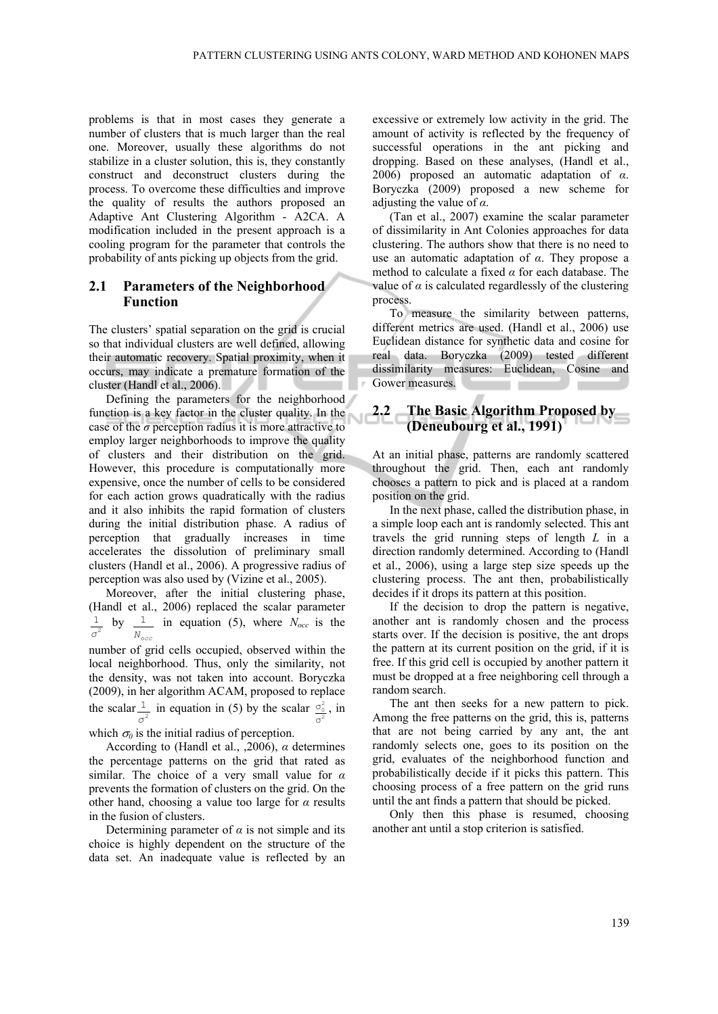problems is that in most cases they generate a number of clusters that is much larger than the real one. Moreover, usually these algorithms do not stabilize in a cluster solution, this is, they constantly construct and deconstruct clusters during the process. To overcome these difficulties and improve the quality of results the authors proposed an Adaptive Ant Clustering Algorithm - A2CA. A modification included in the present approach is a cooling program for the parameter that controls the probability of ants picking up objects from the grid.

### **2.1 Parameters of the Neighborhood Function**

The clusters' spatial separation on the grid is crucial so that individual clusters are well defined, allowing their automatic recovery. Spatial proximity, when it occurs, may indicate a premature formation of the cluster (Handl et al., 2006).

Defining the parameters for the neighborhood function is a key factor in the cluster quality. In the case of the *σ* perception radius it is more attractive to employ larger neighborhoods to improve the quality of clusters and their distribution on the grid. However, this procedure is computationally more expensive, once the number of cells to be considered for each action grows quadratically with the radius and it also inhibits the rapid formation of clusters during the initial distribution phase. A radius of perception that gradually increases in time accelerates the dissolution of preliminary small clusters (Handl et al., 2006). A progressive radius of perception was also used by (Vizine et al., 2005).

Moreover, after the initial clustering phase, (Handl et al., 2006) replaced the scalar parameter  $\frac{1}{2}$ *σ* by *Nocc*  $\frac{1}{\sqrt{1}}$  in equation (5), where  $N_{\text{occ}}$  is the

number of grid cells occupied, observed within the local neighborhood. Thus, only the similarity, not the density, was not taken into account. Boryczka (2009), in her algorithm ACAM, proposed to replace the scalar  $\frac{1}{\sigma^2}$ *σ* in equation in (5) by the scalar  $\frac{\sigma_0^2}{\sigma^2}$ σ , in

which  $\sigma_0$  is the initial radius of perception.

According to (Handl et al., ,2006), *α* determines the percentage patterns on the grid that rated as similar. The choice of a very small value for *α* prevents the formation of clusters on the grid. On the other hand, choosing a value too large for *α* results in the fusion of clusters.

Determining parameter of  $\alpha$  is not simple and its choice is highly dependent on the structure of the data set. An inadequate value is reflected by an excessive or extremely low activity in the grid. The amount of activity is reflected by the frequency of successful operations in the ant picking and dropping. Based on these analyses, (Handl et al., 2006) proposed an automatic adaptation of *α*. Boryczka (2009) proposed a new scheme for adjusting the value of *α*.

(Tan et al., 2007) examine the scalar parameter of dissimilarity in Ant Colonies approaches for data clustering. The authors show that there is no need to use an automatic adaptation of *α*. They propose a method to calculate a fixed *α* for each database. The value of  $\alpha$  is calculated regardlessly of the clustering process.

To measure the similarity between patterns, different metrics are used. (Handl et al., 2006) use Euclidean distance for synthetic data and cosine for real data. Boryczka (2009) tested different dissimilarity measures: Euclidean, Cosine and Gower measures. **Contract Contract** 

### **2.2 The Basic Algorithm Proposed by (Deneubourg et al., 1991)**

At an initial phase, patterns are randomly scattered throughout the grid. Then, each ant randomly chooses a pattern to pick and is placed at a random position on the grid.

In the next phase, called the distribution phase, in a simple loop each ant is randomly selected. This ant travels the grid running steps of length *L* in a direction randomly determined. According to (Handl et al., 2006), using a large step size speeds up the clustering process. The ant then, probabilistically decides if it drops its pattern at this position.

If the decision to drop the pattern is negative, another ant is randomly chosen and the process starts over. If the decision is positive, the ant drops the pattern at its current position on the grid, if it is free. If this grid cell is occupied by another pattern it must be dropped at a free neighboring cell through a random search.

The ant then seeks for a new pattern to pick. Among the free patterns on the grid, this is, patterns that are not being carried by any ant, the ant randomly selects one, goes to its position on the grid, evaluates of the neighborhood function and probabilistically decide if it picks this pattern. This choosing process of a free pattern on the grid runs until the ant finds a pattern that should be picked.

Only then this phase is resumed, choosing another ant until a stop criterion is satisfied.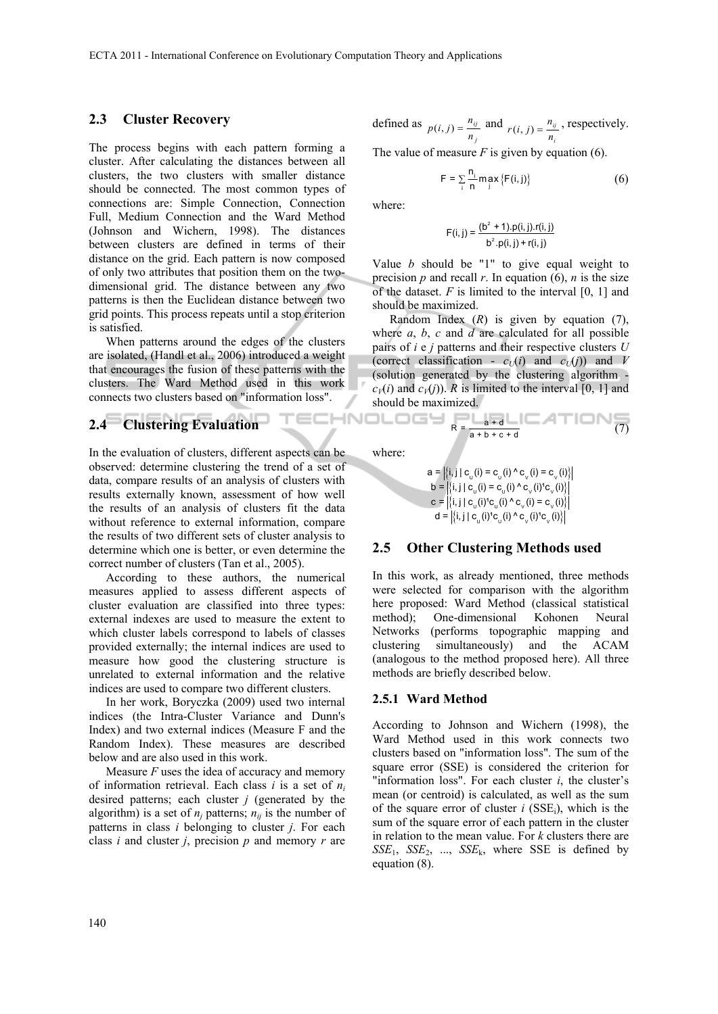### **2.3 Cluster Recovery**

The process begins with each pattern forming a cluster. After calculating the distances between all clusters, the two clusters with smaller distance should be connected. The most common types of connections are: Simple Connection, Connection Full, Medium Connection and the Ward Method (Johnson and Wichern, 1998). The distances between clusters are defined in terms of their distance on the grid. Each pattern is now composed of only two attributes that position them on the twodimensional grid. The distance between any two patterns is then the Euclidean distance between two grid points. This process repeats until a stop criterion is satisfied.

When patterns around the edges of the clusters are isolated, (Handl et al., 2006) introduced a weight that encourages the fusion of these patterns with the clusters. The Ward Method used in this work connects two clusters based on "information loss".

# **2.4 Clustering Evaluation**

In the evaluation of clusters, different aspects can be observed: determine clustering the trend of a set of data, compare results of an analysis of clusters with results externally known, assessment of how well the results of an analysis of clusters fit the data without reference to external information, compare the results of two different sets of cluster analysis to determine which one is better, or even determine the correct number of clusters (Tan et al., 2005).

According to these authors, the numerical measures applied to assess different aspects of cluster evaluation are classified into three types: external indexes are used to measure the extent to which cluster labels correspond to labels of classes provided externally; the internal indices are used to measure how good the clustering structure is unrelated to external information and the relative indices are used to compare two different clusters.

In her work, Boryczka (2009) used two internal indices (the Intra-Cluster Variance and Dunn's Index) and two external indices (Measure F and the Random Index). These measures are described below and are also used in this work.

Measure  $F$  uses the idea of accuracy and memory of information retrieval. Each class *i* is a set of *ni* desired patterns; each cluster *j* (generated by the algorithm) is a set of  $n_i$  patterns;  $n_{ii}$  is the number of patterns in class *i* belonging to cluster *j*. For each class *i* and cluster *j*, precision *p* and memory *r* are

defined as  $p(i, j) = \frac{n_{ij}}{j}$  $p(i, j) = \frac{n_{ij}}{n_j}$  and  $r(i, j) = \frac{n_{ij}}{n_i}$  $r(i, j) = \frac{n_{ij}}{n_i}$ , respectively.

The value of measure  $F$  is given by equation (6).

$$
F = \sum_{i} \frac{n_i}{n} \max_{j} \{F(i, j)\}
$$
 (6)

where:

$$
F(i, j) = \frac{(b^{2} + 1).p(i, j).r(i, j)}{b^{2}.p(i, j) + r(i, j)}
$$

Value *b* should be "1" to give equal weight to precision  $p$  and recall  $r$ . In equation (6),  $n$  is the size of the dataset.  $F$  is limited to the interval  $[0, 1]$  and should be maximized.

Random Index (*R*) is given by equation (7), where *a*, *b*, *c* and *d* are calculated for all possible pairs of *i* e *j* patterns and their respective clusters *U* (correct classification -  $c_U(i)$  and  $c_U(j)$ ) and *V* (solution generated by the clustering algorithm  $c_V(i)$  and  $c_V(j)$ ). *R* is limited to the interval [0, 1] and should be maximized.

$$
R = \frac{a + d}{a + b + c + d} \tag{7}
$$

where:

TECHNOLOGY

$$
\mathbf{a} = \left| \{i, j \mid \mathbf{c}_{_{\mathbf{U}}}(i) = \mathbf{c}_{_{\mathbf{U}}}(i) \wedge \mathbf{c}_{_{\mathbf{V}}}(i) = \mathbf{c}_{_{\mathbf{V}}}(i) \} \right|
$$
\n
$$
\mathbf{b} = \left| \{i, j \mid \mathbf{c}_{_{\mathbf{U}}}(i) = \mathbf{c}_{_{\mathbf{U}}}(i) \wedge \mathbf{c}_{_{\mathbf{V}}}(i)^{\dagger} \mathbf{c}_{_{\mathbf{V}}}(i) \} \right|
$$
\n
$$
\mathbf{c} = \left| \{i, j \mid \mathbf{c}_{_{\mathbf{U}}}(i)^{\dagger} \mathbf{c}_{_{\mathbf{U}}}(i) \wedge \mathbf{c}_{_{\mathbf{V}}}(i) = \mathbf{c}_{_{\mathbf{V}}}(i) \} \right|
$$
\n
$$
\mathbf{d} = \left| \{i, j \mid \mathbf{c}_{_{\mathbf{U}}}(i)^{\dagger} \mathbf{c}_{_{\mathbf{U}}}(i) \wedge \mathbf{c}_{_{\mathbf{V}}}(i)^{\dagger} \mathbf{c}_{_{\mathbf{V}}}(i) \} \right|
$$

### **2.5 Other Clustering Methods used**

In this work, as already mentioned, three methods were selected for comparison with the algorithm here proposed: Ward Method (classical statistical method); One-dimensional Kohonen Neural Networks (performs topographic mapping and clustering simultaneously) and the ACAM (analogous to the method proposed here). All three methods are briefly described below.

### **2.5.1 Ward Method**

According to Johnson and Wichern (1998), the Ward Method used in this work connects two clusters based on "information loss". The sum of the square error (SSE) is considered the criterion for "information loss". For each cluster *i*, the cluster's mean (or centroid) is calculated, as well as the sum of the square error of cluster  $i$  (SSE<sub>i</sub>), which is the sum of the square error of each pattern in the cluster in relation to the mean value. For *k* clusters there are  $SSE_1$ ,  $SSE_2$ , ...,  $SSE_k$ , where SSE is defined by equation (8).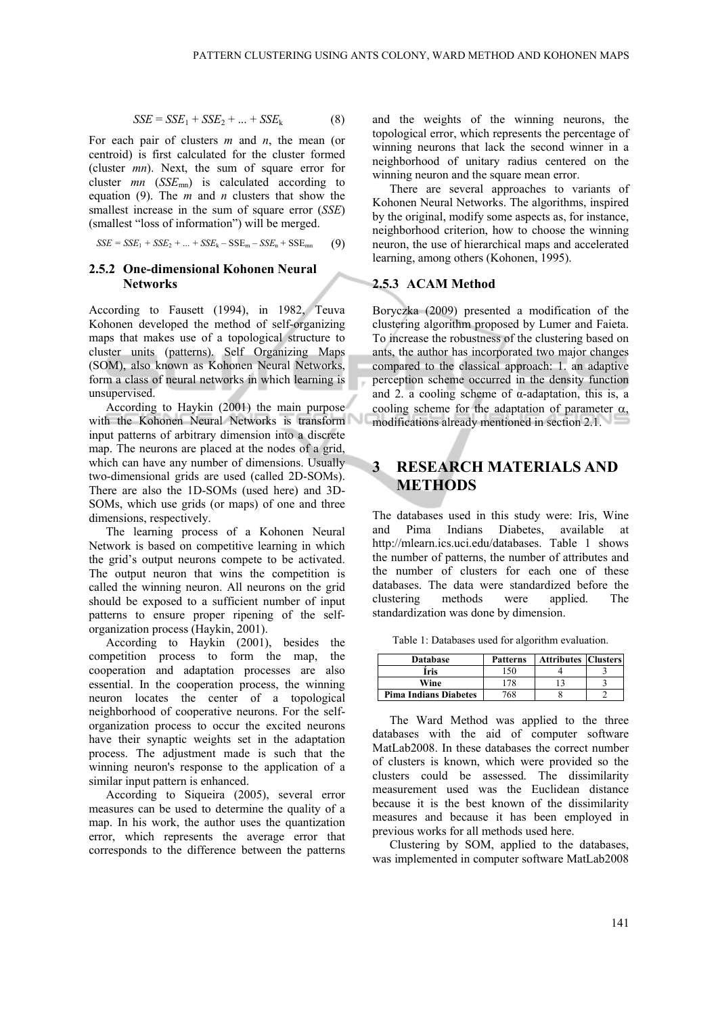$$
SSE = SSE_1 + SSE_2 + \dots + SSE_k \tag{8}
$$

For each pair of clusters *m* and *n*, the mean (or centroid) is first calculated for the cluster formed (cluster *mn*). Next, the sum of square error for cluster *mn* (*SSE*mn) is calculated according to equation (9). The *m* and *n* clusters that show the smallest increase in the sum of square error (*SSE*) (smallest "loss of information") will be merged.

$$
SSE = SSE_1 + SSE_2 + ... + SSE_k - SSE_m - SSE_n + SSE_{mn}
$$
 (9)

### **2.5.2 One-dimensional Kohonen Neural Networks**

According to Fausett (1994), in 1982, Teuva Kohonen developed the method of self-organizing maps that makes use of a topological structure to cluster units (patterns). Self Organizing Maps (SOM), also known as Kohonen Neural Networks, form a class of neural networks in which learning is unsupervised.

According to Haykin (2001) the main purpose with the Kohonen Neural Networks is transform input patterns of arbitrary dimension into a discrete map. The neurons are placed at the nodes of a grid, which can have any number of dimensions. Usually two-dimensional grids are used (called 2D-SOMs). There are also the 1D-SOMs (used here) and 3D-SOMs, which use grids (or maps) of one and three dimensions, respectively.

The learning process of a Kohonen Neural Network is based on competitive learning in which the grid's output neurons compete to be activated. The output neuron that wins the competition is called the winning neuron. All neurons on the grid should be exposed to a sufficient number of input patterns to ensure proper ripening of the selforganization process (Haykin, 2001).

According to Haykin  $(2001)$ , besides the competition process to form the map, the cooperation and adaptation processes are also essential. In the cooperation process, the winning neuron locates the center of a topological neighborhood of cooperative neurons. For the selforganization process to occur the excited neurons have their synaptic weights set in the adaptation process. The adjustment made is such that the winning neuron's response to the application of a similar input pattern is enhanced.

According to Siqueira (2005), several error measures can be used to determine the quality of a map. In his work, the author uses the quantization error, which represents the average error that corresponds to the difference between the patterns

and the weights of the winning neurons, the topological error, which represents the percentage of winning neurons that lack the second winner in a neighborhood of unitary radius centered on the winning neuron and the square mean error.

There are several approaches to variants of Kohonen Neural Networks. The algorithms, inspired by the original, modify some aspects as, for instance, neighborhood criterion, how to choose the winning neuron, the use of hierarchical maps and accelerated learning, among others (Kohonen, 1995).

### **2.5.3 ACAM Method**

Boryczka (2009) presented a modification of the clustering algorithm proposed by Lumer and Faieta. To increase the robustness of the clustering based on ants, the author has incorporated two major changes compared to the classical approach: 1. an adaptive perception scheme occurred in the density function and 2. a cooling scheme of  $\alpha$ -adaptation, this is, a cooling scheme for the adaptation of parameter  $\alpha$ , modifications already mentioned in section 2.1.

# **3 RESEARCH MATERIALS AND METHODS**

The databases used in this study were: Iris, Wine and Pima Indians Diabetes, available at http://mlearn.ics.uci.edu/databases. Table 1 shows the number of patterns, the number of attributes and the number of clusters for each one of these databases. The data were standardized before the clustering methods were applied. The standardization was done by dimension.

| <b>Database</b>              | <b>Patterns</b> | <b>Attributes Clusters</b> |  |
|------------------------------|-----------------|----------------------------|--|
| Íris                         | 150             |                            |  |
| Wine                         | 78              |                            |  |
| <b>Pima Indians Diabetes</b> | 768             |                            |  |

The Ward Method was applied to the three databases with the aid of computer software MatLab2008. In these databases the correct number of clusters is known, which were provided so the clusters could be assessed. The dissimilarity measurement used was the Euclidean distance because it is the best known of the dissimilarity measures and because it has been employed in previous works for all methods used here.

Clustering by SOM, applied to the databases, was implemented in computer software MatLab2008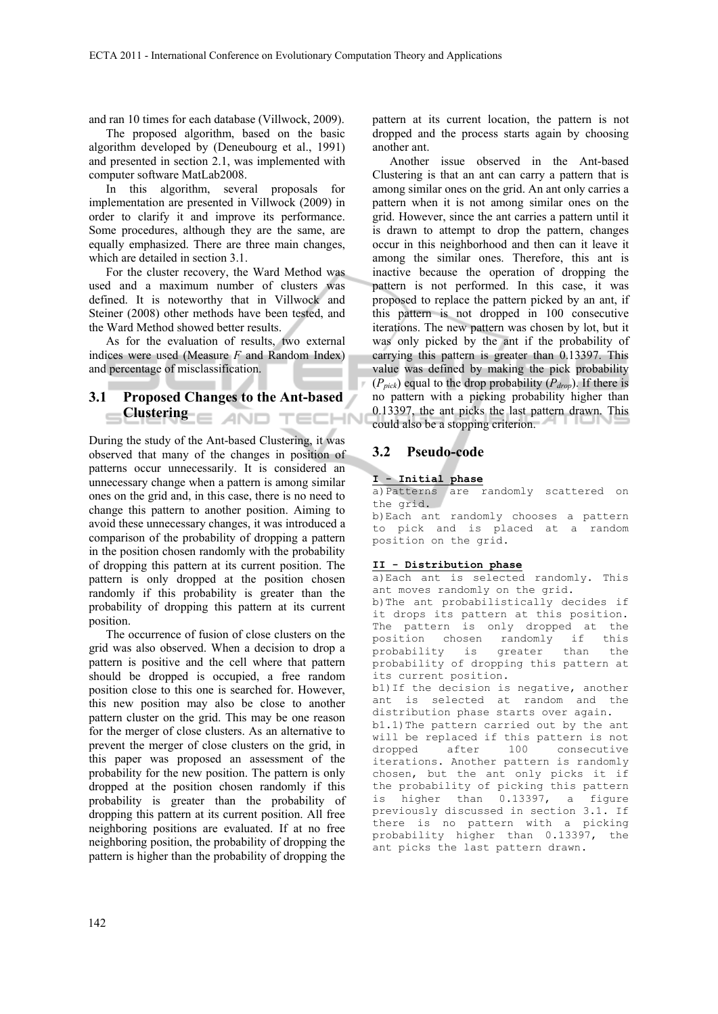and ran 10 times for each database (Villwock, 2009).

The proposed algorithm, based on the basic algorithm developed by (Deneubourg et al., 1991) and presented in section 2.1, was implemented with computer software MatLab2008.

In this algorithm, several proposals for implementation are presented in Villwock (2009) in order to clarify it and improve its performance. Some procedures, although they are the same, are equally emphasized. There are three main changes, which are detailed in section 3.1.

For the cluster recovery, the Ward Method was used and a maximum number of clusters was defined. It is noteworthy that in Villwock and Steiner (2008) other methods have been tested, and the Ward Method showed better results.

As for the evaluation of results, two external indices were used (Measure *F* and Random Index) and percentage of misclassification.

# **3.1 Proposed Changes to the Ant-based Clustering**

During the study of the Ant-based Clustering, it was observed that many of the changes in position of patterns occur unnecessarily. It is considered an unnecessary change when a pattern is among similar ones on the grid and, in this case, there is no need to change this pattern to another position. Aiming to avoid these unnecessary changes, it was introduced a comparison of the probability of dropping a pattern in the position chosen randomly with the probability of dropping this pattern at its current position. The pattern is only dropped at the position chosen randomly if this probability is greater than the probability of dropping this pattern at its current position.

The occurrence of fusion of close clusters on the grid was also observed. When a decision to drop a pattern is positive and the cell where that pattern should be dropped is occupied, a free random position close to this one is searched for. However, this new position may also be close to another pattern cluster on the grid. This may be one reason for the merger of close clusters. As an alternative to prevent the merger of close clusters on the grid, in this paper was proposed an assessment of the probability for the new position. The pattern is only dropped at the position chosen randomly if this probability is greater than the probability of dropping this pattern at its current position. All free neighboring positions are evaluated. If at no free neighboring position, the probability of dropping the pattern is higher than the probability of dropping the

pattern at its current location, the pattern is not dropped and the process starts again by choosing another ant.

Another issue observed in the Ant-based Clustering is that an ant can carry a pattern that is among similar ones on the grid. An ant only carries a pattern when it is not among similar ones on the grid. However, since the ant carries a pattern until it is drawn to attempt to drop the pattern, changes occur in this neighborhood and then can it leave it among the similar ones. Therefore, this ant is inactive because the operation of dropping the pattern is not performed. In this case, it was proposed to replace the pattern picked by an ant, if this pattern is not dropped in 100 consecutive iterations. The new pattern was chosen by lot, but it was only picked by the ant if the probability of carrying this pattern is greater than 0.13397. This value was defined by making the pick probability  $(P_{pick})$  equal to the drop probability  $(P_{drop})$ . If there is no pattern with a picking probability higher than 0.13397, the ant picks the last pattern drawn. This could also be a stopping criterion.

### **3.2 Pseudo-code**

#### **I - Initial phase**

a)Patterns are randomly scattered on the grid.

b)Each ant randomly chooses a pattern to pick and is placed at a random position on the grid.

#### **II - Distribution phase**

a)Each ant is selected randomly. This ant moves randomly on the grid.

b)The ant probabilistically decides if it drops its pattern at this position. The pattern is only dropped at the<br>position chosen randomly if this position chosen randomly probability is greater than the probability of dropping this pattern at its current position.

b1)If the decision is negative, another ant is selected at random and the distribution phase starts over again. b1.1)The pattern carried out by the ant

will be replaced if this pattern is not<br>dropped after 100 consecutive dropped after 100 consecutive iterations. Another pattern is randomly chosen, but the ant only picks it if the probability of picking this pattern is higher than 0.13397, a figure previously discussed in section 3.1. If there is no pattern with a picking probability higher than 0.13397, the ant picks the last pattern drawn.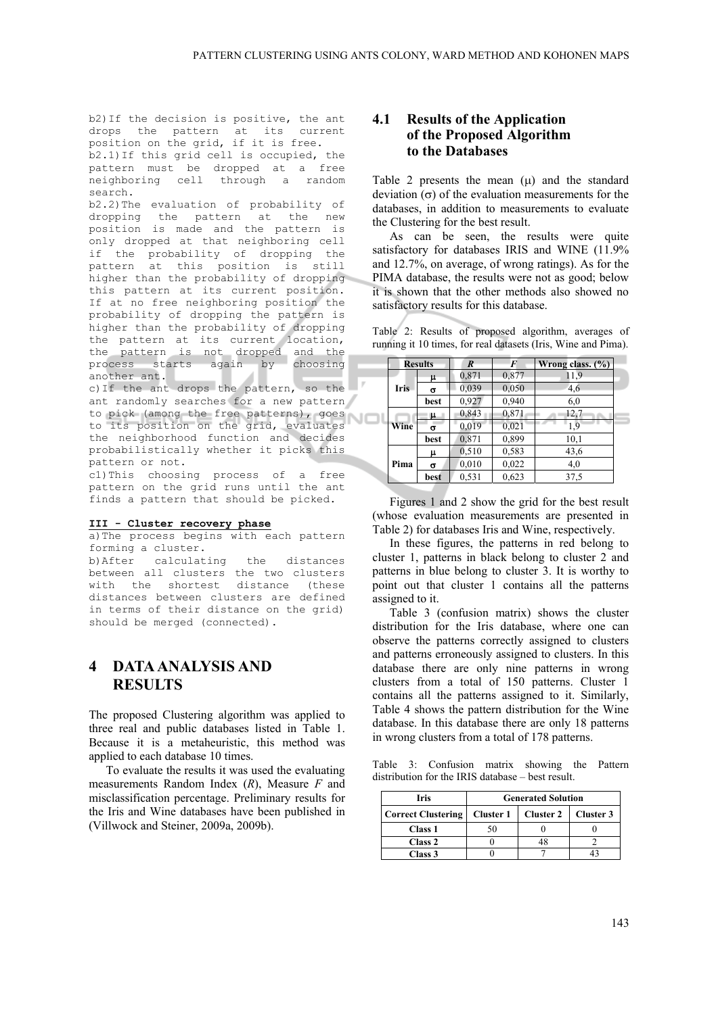b2)If the decision is positive, the ant drops the pattern at its current position on the grid, if it is free. b2.1)If this grid cell is occupied, the pattern must be dropped at a free neighboring cell through a random search.

b2.2)The evaluation of probability of dropping the pattern at the new position is made and the pattern is only dropped at that neighboring cell if the probability of dropping the pattern at this position is still higher than the probability of dropping this pattern at its current position. If at no free neighboring position the probability of dropping the pattern is higher than the probability of dropping the pattern at its current location, the pattern is not dropped and the process starts again by choosing process sud<br>another ant.

c)If the ant drops the pattern, so the ant randomly searches for a new pattern to pick (among the free patterns), goes to its position on the grid, evaluates the neighborhood function and decides probabilistically whether it picks this pattern or not.

c1)This choosing process of a free pattern on the grid runs until the ant finds a pattern that should be picked.

#### **III - Cluster recovery phase**

a) The process begins with each pattern forming a cluster.

b)After calculating the distances between all clusters the two clusters with the shortest distance (these distances between clusters are defined in terms of their distance on the grid) should be merged (connected).

# **4 DATA ANALYSIS AND RESULTS**

The proposed Clustering algorithm was applied to three real and public databases listed in Table 1. Because it is a metaheuristic, this method was applied to each database 10 times.

To evaluate the results it was used the evaluating measurements Random Index (*R*), Measure *F* and misclassification percentage. Preliminary results for the Iris and Wine databases have been published in (Villwock and Steiner, 2009a, 2009b).

## **4.1 Results of the Application of the Proposed Algorithm to the Databases**

Table 2 presents the mean  $(\mu)$  and the standard deviation  $(\sigma)$  of the evaluation measurements for the databases, in addition to measurements to evaluate the Clustering for the best result.

As can be seen, the results were quite satisfactory for databases IRIS and WINE (11.9% and 12.7%, on average, of wrong ratings). As for the PIMA database, the results were not as good; below it is shown that the other methods also showed no satisfactory results for this database.

Table 2: Results of proposed algorithm, averages of running it 10 times, for real datasets (Iris, Wine and Pima).

|      | <b>Results</b> | $\boldsymbol{R}$ | F     | Wrong class. $(\%)$ |  |
|------|----------------|------------------|-------|---------------------|--|
|      | μ              | 0,871            | 0,877 | 11.9                |  |
| Iris | σ              | 0,039            | 0,050 | 4,6                 |  |
|      | best           | 0,927            | 0,940 | 6,0                 |  |
|      | μ              | 0,843            | 0,871 | 12,7                |  |
| Wine | σ              | 0,019            | 0,021 | 1.9                 |  |
|      | best           | 0.871            | 0,899 | 10,1                |  |
|      | μ              | 0,510            | 0,583 | 43,6                |  |
| Pima | σ              | 0,010            | 0,022 | 4,0                 |  |
|      | best           | 0.531            | 0,623 | 37.5                |  |

Figures 1 and 2 show the grid for the best result (whose evaluation measurements are presented in Table 2) for databases Iris and Wine, respectively.

In these figures, the patterns in red belong to cluster 1, patterns in black belong to cluster 2 and patterns in blue belong to cluster 3. It is worthy to point out that cluster 1 contains all the patterns assigned to it.

Table 3 (confusion matrix) shows the cluster distribution for the Iris database, where one can observe the patterns correctly assigned to clusters and patterns erroneously assigned to clusters. In this database there are only nine patterns in wrong clusters from a total of 150 patterns. Cluster 1 contains all the patterns assigned to it. Similarly, Table 4 shows the pattern distribution for the Wine database. In this database there are only 18 patterns in wrong clusters from a total of 178 patterns.

Table 3: Confusion matrix showing the Pattern distribution for the IRIS database – best result.

| Iris                                       | <b>Generated Solution</b> |  |           |  |
|--------------------------------------------|---------------------------|--|-----------|--|
| Correct Clustering   Cluster 1   Cluster 2 |                           |  | Cluster 3 |  |
| Class 1                                    |                           |  |           |  |
| Class 2                                    |                           |  |           |  |
| Class 3                                    |                           |  |           |  |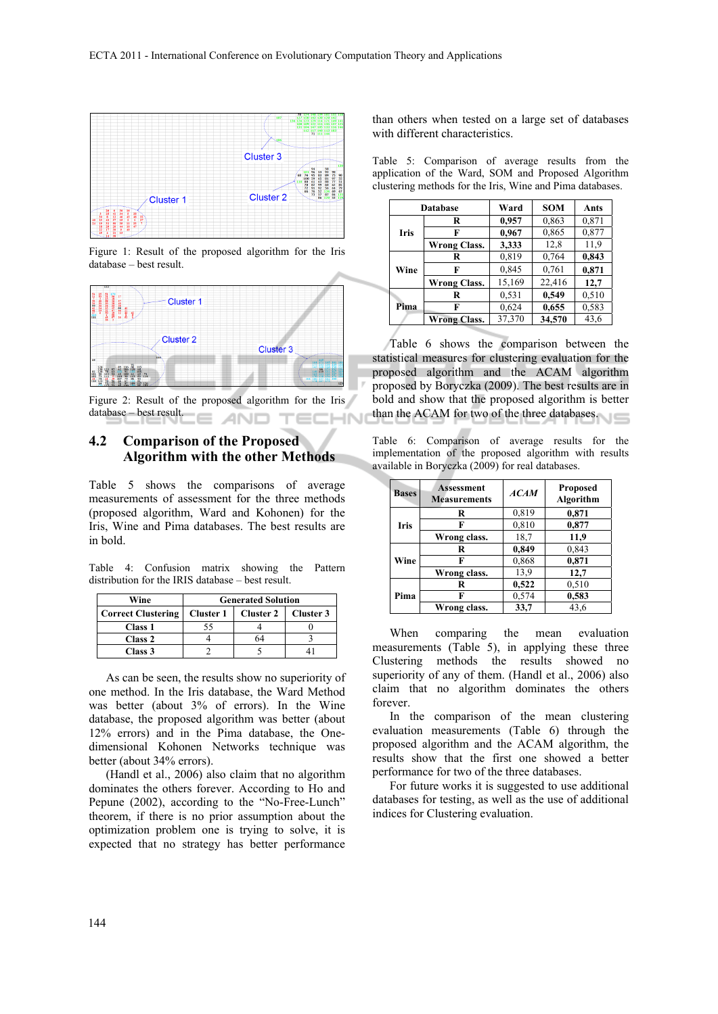

Figure 1: Result of the proposed algorithm for the Iris database – best result.



Figure 2: Result of the proposed algorithm for the Iris database – best result. **CHN** ANO

## **4.2 Comparison of the Proposed Algorithm with the other Methods**

Table 5 shows the comparisons of average measurements of assessment for the three methods (proposed algorithm, Ward and Kohonen) for the Iris, Wine and Pima databases. The best results are in bold.

Table 4: Confusion matrix showing the Pattern distribution for the IRIS database – best result.

| Wine                      | <b>Generated Solution</b> |                  |           |
|---------------------------|---------------------------|------------------|-----------|
| <b>Correct Clustering</b> | Cluster 1                 | <b>Cluster 2</b> | Cluster 3 |
| Class 1                   |                           |                  |           |
| Class 2                   |                           | 64               |           |
| Class 3                   |                           |                  |           |

As can be seen, the results show no superiority of one method. In the Iris database, the Ward Method was better (about 3% of errors). In the Wine database, the proposed algorithm was better (about 12% errors) and in the Pima database, the Onedimensional Kohonen Networks technique was better (about 34% errors).

(Handl et al., 2006) also claim that no algorithm dominates the others forever. According to Ho and Pepune (2002), according to the "No-Free-Lunch" theorem, if there is no prior assumption about the optimization problem one is trying to solve, it is expected that no strategy has better performance than others when tested on a large set of databases with different characteristics.

Table 5: Comparison of average results from the application of the Ward, SOM and Proposed Algorithm clustering methods for the Iris, Wine and Pima databases.

|      | Database            | Ward   | <b>SOM</b> | Ants  |
|------|---------------------|--------|------------|-------|
| Iris | R                   | 0,957  | 0,863      | 0,871 |
|      | F                   | 0,967  | 0,865      | 0,877 |
|      | <b>Wrong Class.</b> | 3,333  | 12,8       | 11,9  |
| Wine | R                   | 0,819  | 0,764      | 0,843 |
|      | F                   | 0,845  | 0,761      | 0,871 |
|      | <b>Wrong Class.</b> | 15,169 | 22,416     | 12,7  |
| Pima | R                   | 0.531  | 0,549      | 0,510 |
|      | F                   | 0,624  | 0,655      | 0.583 |
|      | <b>Wrong Class.</b> | 37,370 | 34,570     | 43,6  |

Table 6 shows the comparison between the statistical measures for clustering evaluation for the proposed algorithm and the ACAM algorithm proposed by Boryczka (2009). The best results are in bold and show that the proposed algorithm is better than the ACAM for two of the three databases.

Table 6: Comparison of average results for the implementation of the proposed algorithm with results available in Boryczka (2009) for real databases.

| <b>Bases</b> | <b>Assessment</b><br><b>Measurements</b> | <b>ACAM</b> | <b>Proposed</b><br>Algorithm |
|--------------|------------------------------------------|-------------|------------------------------|
| Iris         | R                                        | 0,819       | 0,871                        |
|              | F                                        | 0,810       | 0,877                        |
|              | Wrong class.                             | 18,7        | 11,9                         |
| Wine         | R                                        | 0,849       | 0,843                        |
|              | F                                        | 0,868       | 0,871                        |
|              | Wrong class.                             | 13,9        | 12,7                         |
| Pima         | R                                        | 0,522       | 0.510                        |
|              | F                                        | 0,574       | 0,583                        |
|              | Wrong class.                             | 33,7        | 43,6                         |

When comparing the mean evaluation measurements (Table 5), in applying these three Clustering methods the results showed no superiority of any of them. (Handl et al., 2006) also claim that no algorithm dominates the others forever.

In the comparison of the mean clustering evaluation measurements (Table 6) through the proposed algorithm and the ACAM algorithm, the results show that the first one showed a better performance for two of the three databases.

For future works it is suggested to use additional databases for testing, as well as the use of additional indices for Clustering evaluation.